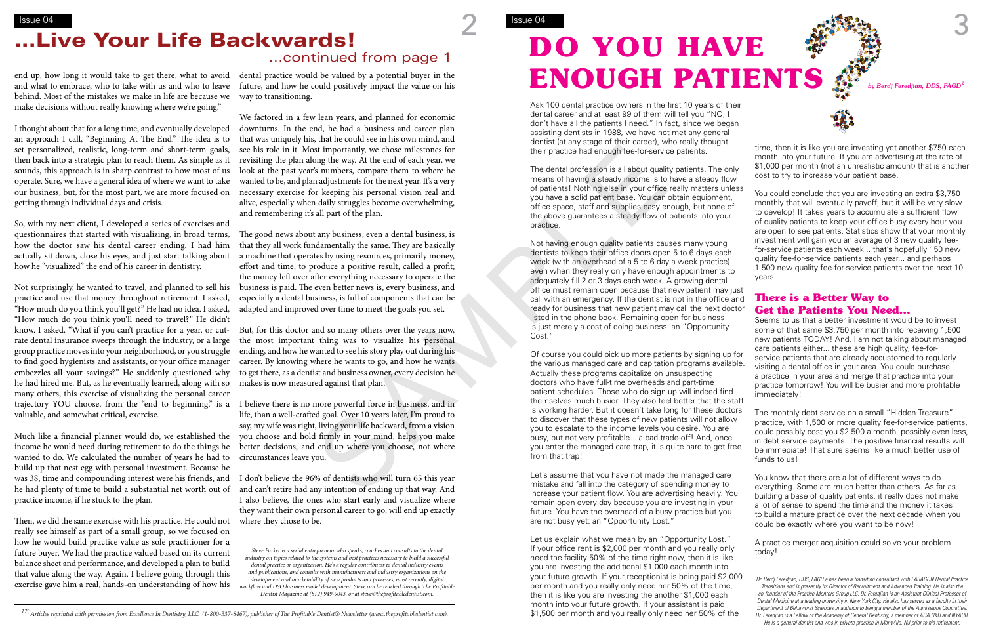*123Articles reprinted with permission from Excellence In Dentistry, LLC (1-800-337-8467), publisher of The Profitable Dentist® Newsletter (www.theprofitabledentist.com).*

behind. Most of the mistakes we make in life are because we make decisions without really knowing where we're going."

I thought about that for a long time, and eventually developed an approach I call, "Beginning At The End." The idea is to set personalized, realistic, long-term and short-term goals, then back into a strategic plan to reach them. As simple as it sounds, this approach is in sharp contrast to how most of us operate. Sure, we have a general idea of where we want to take our business, but, for the most part, we are more focused on getting through individual days and crisis.

So, with my next client, I developed a series of exercises and questionnaires that started with visualizing, in broad terms, how the doctor saw his dental career ending. I had him actually sit down, close his eyes, and just start talking about how he "visualized" the end of his career in dentistry.

end up, how long it would take to get there, what to avoid  $\;$  dental practice would be valued by a potential buyer in the and what to embrace, who to take with us and who to leave future, and how he could positively impact the value on his way to transitioning.

Not surprisingly, he wanted to travel, and planned to sell his practice and use that money throughout retirement. I asked, "How much do you think you'll get?" He had no idea. I asked, "How much do you think you'll need to travel?" He didn't know. I asked, "What if you can't practice for a year, or cutrate dental insurance sweeps through the industry, or a large group practice moves into your neighborhood, or you struggle to find good hygienists and assistants, or your office manager embezzles all your savings?" He suddenly questioned why he had hired me. But, as he eventually learned, along with so many others, this exercise of visualizing the personal career valuable, and somewhat critical, exercise.

Much like a financial planner would do, we established the income he would need during retirement to do the things he wanted to do. We calculated the number of years he had to build up that nest egg with personal investment. Because he he had plenty of time to build a substantial net worth out of practice income, if he stuck to the plan.

Then, we did the same exercise with his practice. He could not where they chose to be. really see himself as part of a small group, so we focused on how he would build practice value as sole practitioner for a future buyer. We had the practice valued based on its current balance sheet and performance, and developed a plan to build that value along the way. Again, I believe going through this exercise gave him a real, hands-on understanding of how his

We factored in a few lean years, and planned for economic downturns. In the end, he had a business and career plan that was uniquely his, that he could see in his own mind, and see his role in it. Most importantly, we chose milestones for revisiting the plan along the way. At the end of each year, we look at the past year's numbers, compare them to where he wanted to be, and plan adjustments for the next year. It's a very necessary exercise for keeping his personal vision real and alive, especially when daily struggles become overwhelming, and remembering it's all part of the plan.

trajectory YOU choose, from the "end to beginning," is a I believe there is no more powerful force in business, and in life, than a well-crafted goal. Over 10 years later, I'm proud to say, my wife was right, living your life backward, from a vision you choose and hold firmly in your mind, helps you make better decisions, and end up where you choose, not where circumstances leave you.

Of course you could pick up more patients by signing up for the various managed care and capitation programs available. Actually these programs capitalize on unsuspecting doctors who have full-time overheads and part-time patient schedules. Those who do sign up will indeed find themselves much busier. They also feel better that the staff is working harder. But it doesn't take long for these doctors to discover that these types of new patients will not allow you to escalate to the income levels you desire. You are busy, but not very profitable... a bad trade-off! And, once you enter the managed care trap, it is quite hard to get free from that trap! service patients that are already accustomed to regularly visiting a dental office in your area. You could purchase a practice in your area and merge that practice into your practice tomorrow! You will be busier and more profitable immediately! The monthly debt service on a small "Hidden Treasure" practice, with 1,500 or more quality fee-for-service patients, could possibly cost you \$2,500 a month, possibly even less, in debt service payments. The positive financial results will be immediate! That sure seems like a much better use of funds to us! st importantly, we chose milestones for<br>
the informal term of each year, the end of each year, we chose milestones for<br>
the informal constrained from the particle of each year, we can be a solution of the strength in the p

was 38, time and compounding interest were his friends, and I don't believe the 96% of dentists who will turn 65 this year and can't retire had any intention of ending up that way. And I also believe, the ones who start early and visualize where they want their own personal career to go, will end up exactly

The good news about any business, even a dental business, is that they all work fundamentally the same. They are basically a machine that operates by using resources, primarily money, effort and time, to produce a positive result, called a profit; the money left over after everything necessary to operate the business is paid. The even better news is, every business, and especially a dental business, is full of components that can be adapted and improved over time to meet the goals you set.

But, for this doctor and so many others over the years now, the most important thing was to visualize his personal ending, and how he wanted to see his story play out during his career. By knowing where he wants to go, and how he wants to get there, as a dentist and business owner, every decision he makes is now measured against that plan.

*Steve Parker is a serial entrepreneur who speaks, coaches and consults to the dental industry on topics related to the systems and best practices necessary to build a successful dental practice or organization. He's a regular contributor to dental industry events and publications, and consults with manufacturers and industry organizations on the development and marketability of new products and processes, most recently, digital workflow and DSO business model development. Steve can be reached through The Profitable Dentist Magazine at (812) 949-9043, or at steve@theprofitabledentist.com.* 

# **DO YOU HAVE**  ENOUGH PATIENTS  $A^{sp}$ <sub>by Berdj Feredjian, DDS, FAGD</sub>

### $\frac{1}{\text{S} \cdot \text{S} \cdot \text{S} \cdot \text{S} \cdot \text{S} \cdot \text{S} \cdot \text{S} \cdot \text{S}}$  Issue 04 ...Live Your Life Backwards!

Ask 100 dental practice owners in the first 10 years of their dental career and at least 99 of them will tell you "NO, I don't have all the patients I need." In fact, since we began assisting dentists in 1988, we have not met any general dentist (at any stage of their career), who really thought their practice had enough fee-for-service patients.

The dental profession is all about quality patients. The only means of having a steady income is to have a steady flow of patients! Nothing else in your office really matters unless you have a solid patient base. You can obtain equipment, office space, staff and supplies easy enough, but none of the above guarantees a steady flow of patients into your practice.

Not having enough quality patients causes many young dentists to keep their office doors open 5 to 6 days each week (with an overhead of a 5 to 6 day a week practice) even when they really only have enough appointments to adequately fill 2 or 3 days each week. A growing dental office must remain open because that new patient may just call with an emergency. If the dentist is not in the office and ready for business that new patient may call the next doctor listed in the phone book. Remaining open for business is just merely a cost of doing business: an "Opportunity Cost."

Let's assume that you have not made the managed care mistake and fall into the category of spending money to increase your patient flow. You are advertising heavily. You remain open every day because you are investing in your future. You have the overhead of a busy practice but you are not busy yet: an "Opportunity Lost."

time, then it is like you are investing yet another \$750 each month into your future. If you are advertising at the rate of \$1,000 per month (not an unrealistic amount) that is another cost to try to increase your patient base.

You could conclude that you are investing an extra \$3,750 monthly that will eventually payoff, but it will be very slow to develop! It takes years to accumulate a sufficient flow of quality patients to keep your office busy every hour you are open to see patients. Statistics show that your monthly investment will gain you an average of 3 new quality feefor-service patients each week... that's hopefully 150 new quality fee-for-service patients each year... and perhaps 1,500 new quality fee-for-service patients over the next 10 years.

### **There is a Better Way to Get the Patients You Need...**

Seems to us that a better investment would be to invest some of that same \$3,750 per month into receiving 1,500 new patients TODAY! And, I am not talking about managed care patients either... these are high quality, fee-for-

Let us explain what we mean by an "Opportunity Lost." If your office rent is \$2,000 per month and you really only need the facility 50% of the time right now, then it is like you are investing the additional \$1,000 each month into your future growth. If your receptionist is being paid \$2,000 per month and you really only need her 50% of the time, then it is like you are investing the another \$1,000 each month into your future growth. If your assistant is paid \$1,500 per month and you really only need her 50% of the A practice merger acquisition could solve your problem today! *Dr. Berdj Feredjian, DDS, FAGD a has been a transition consultant with PARAGON Dental Practice Transitions and is presently its Director of Recruitment and Advanced Training. He is also the co-founder of the Practice Mentors Group LLC. Dr. Feredjian is an Assistant Clinical Professor of Dental Medicine at a leading university in New York City. He also has served as a faculty in their Department of Behavioral Sciences in addition to being a member of the Admissions Committee. Dr. Feredjian is a Fellow of the Academy of General Dentistry, a member of ADA,OKU,and NYAOR. He is a general dentist and was in private practice in Montville, NJ prior to his retirement.*





You know that there are a lot of different ways to do everything. Some are much better than others. As far as building a base of quality patients, it really does not make a lot of sense to spend the time and the money it takes to build a mature practice over the next decade when you could be exactly where you want to be now!

...continued from page 1